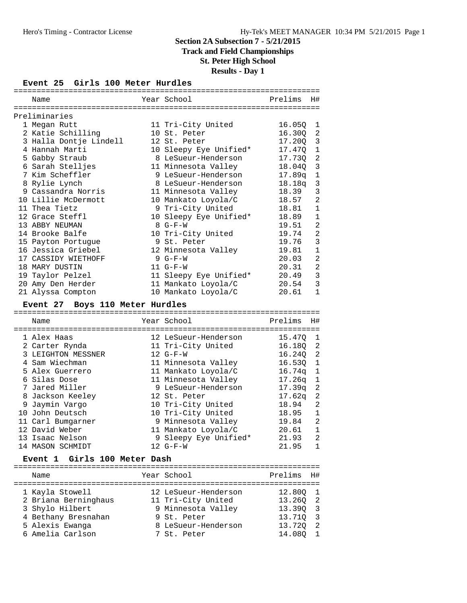# **Track and Field Championships**

**St. Peter High School**

# **Results - Day 1**

#### **Event 25 Girls 100 Meter Hurdles**

| Name                                     |  | Year School            | Prelims    | H#             |  |  |
|------------------------------------------|--|------------------------|------------|----------------|--|--|
| =======================<br>Preliminaries |  |                        |            |                |  |  |
| 1 Megan Rutt                             |  | 11 Tri-City United     | 16.05Q     | -1             |  |  |
| 2 Katie Schilling                        |  | 10 St. Peter           | 16.300     | -2             |  |  |
| 3 Halla Dontje Lindell                   |  | 12 St. Peter           | $17.20Q$ 3 |                |  |  |
| 4 Hannah Marti                           |  | 10 Sleepy Eye Unified* | 17.470     | $\mathbf{1}$   |  |  |
| 5 Gabby Straub                           |  | 8 LeSueur-Henderson    | 17.730     | 2              |  |  |
| 6 Sarah Stelljes                         |  | 11 Minnesota Valley    | 18.040     | $\overline{3}$ |  |  |
| 7 Kim Scheffler                          |  | 9 LeSueur-Henderson    | 17.89q     | 1              |  |  |
| 8 Rylie Lynch                            |  | 8 LeSueur-Henderson    | 18.18q     | $\mathbf{3}$   |  |  |
| 9 Cassandra Norris                       |  | 11 Minnesota Valley    | 18.39      | 3              |  |  |
| 10 Lillie McDermott                      |  | 10 Mankato Loyola/C    | 18.57      | $\overline{2}$ |  |  |
| 11 Thea Tietz                            |  | 9 Tri-City United      | 18.81      | $\mathbf{1}$   |  |  |
| 12 Grace Steffl                          |  | 10 Sleepy Eye Unified* | 18.89      | $\mathbf{1}$   |  |  |
| 13 ABBY NEUMAN                           |  | $8$ $G-F-W$            | 19.51      | $\overline{2}$ |  |  |
| 14 Brooke Balfe                          |  | 10 Tri-City United     | 19.74      | $\overline{a}$ |  |  |
| 15 Payton Portuque                       |  | 9 St. Peter            | 19.76      | 3              |  |  |
| 16 Jessica Griebel                       |  | 12 Minnesota Valley    | 19.81      | $\mathbf{1}$   |  |  |
| 17 CASSIDY WIETHOFF                      |  | $9 G-F-W$              | 20.03      | $\overline{2}$ |  |  |
| 18 MARY DUSTIN                           |  | $11 G-F-W$             | 20.31      | $\overline{a}$ |  |  |
| 19 Taylor Pelzel                         |  | 11 Sleepy Eye Unified* | 20.49      | 3              |  |  |
| 20 Amy Den Herder                        |  | 11 Mankato Loyola/C    | 20.54      | 3              |  |  |
| 21 Alyssa Compton                        |  | 10 Mankato Loyola/C    | 20.61      | $\mathbf 1$    |  |  |

# **Event 27 Boys 110 Meter Hurdles**

| Name               | Year School           | Prelims  | Η#           |
|--------------------|-----------------------|----------|--------------|
| 1 Alex Haas        | 12 LeSueur-Henderson  | 15.470   | -1           |
| 2 Carter Rynda     | 11 Tri-City United    | 16.180 2 |              |
| 3 LEIGHTON MESSNER | $12 G-F-W$            | 16.240   | -2           |
| 4 Sam Wiechman     | 11 Minnesota Valley   | 16.530   | $\mathbf{1}$ |
| 5 Alex Guerrero    | 11 Mankato Loyola/C   | 16.74a   | $\mathbf{1}$ |
| 6 Silas Dose       | 11 Minnesota Valley   | 17.26a   | <sup>1</sup> |
| 7 Jared Miller     | 9 LeSueur-Henderson   | 17.39a   | -2           |
| 8 Jackson Keeley   | 12 St. Peter          | 17.62q   | 2            |
| 9 Jaymin Vargo     | 10 Tri-City United    | 18.94    | 2            |
| 10 John Deutsch    | 10 Tri-City United    | 18.95    | $\mathbf{1}$ |
| 11 Carl Bumgarner  | 9 Minnesota Valley    | 19.84    | 2            |
| 12 David Weber     | 11 Mankato Loyola/C   | 20.61    | 1            |
| 13 Isaac Nelson    | 9 Sleepy Eye Unified* | 21.93    | 2            |
| 14 MASON SCHMIDT   | 12 G-F-W              | 21.95    | 1            |

#### **Event 1 Girls 100 Meter Dash**

| Name                 |  | Prelims H#                                                                                                                           |     |
|----------------------|--|--------------------------------------------------------------------------------------------------------------------------------------|-----|
|                      |  |                                                                                                                                      |     |
| 1 Kayla Stowell      |  | 12.800 1                                                                                                                             |     |
| 2 Briana Berninghaus |  | 13.260 2                                                                                                                             |     |
| 3 Shylo Hilbert      |  | 13.390 3                                                                                                                             |     |
| 4 Bethany Bresnahan  |  | 13.710 3                                                                                                                             |     |
| 5 Alexis Ewanga      |  | 13.720                                                                                                                               | - 2 |
| 6 Amelia Carlson     |  | 14.080                                                                                                                               |     |
|                      |  | Year School<br>12 LeSueur-Henderson<br>11 Tri-City United<br>9 Minnesota Valley<br>9 St. Peter<br>8 LeSueur-Henderson<br>7 St. Peter |     |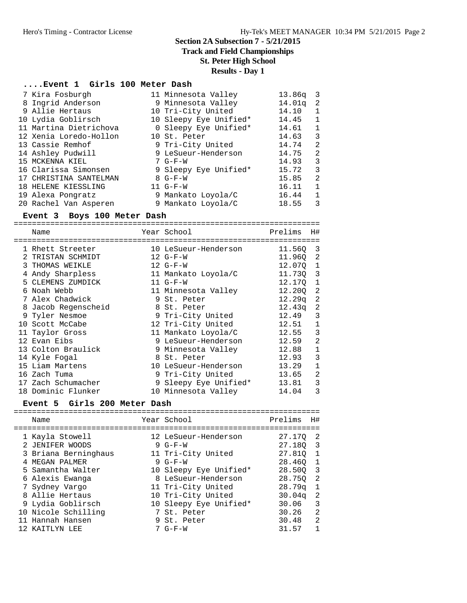**Track and Field Championships**

# **St. Peter High School**

# **Results - Day 1**

# **....Event 1 Girls 100 Meter Dash**

| 7 Kira Fosburgh        | 11 Minnesota Valley    | 13.86q | $\overline{\mathbf{3}}$ |
|------------------------|------------------------|--------|-------------------------|
| 8 Ingrid Anderson      | 9 Minnesota Valley     | 14.01q | - 2                     |
| 9 Allie Hertaus        | 10 Tri-City United     | 14.10  | 1                       |
| 10 Lydia Goblirsch     | 10 Sleepy Eye Unified* | 14.45  | 1                       |
| 11 Martina Dietrichova | 0 Sleepy Eye Unified*  | 14.61  | 1                       |
| 12 Xenia Loredo-Hollon | 10 St. Peter           | 14.63  | 3                       |
| 13 Cassie Remhof       | 9 Tri-City United      | 14.74  | 2                       |
| 14 Ashley Pudwill      | 9 LeSueur-Henderson    | 14.75  | 2                       |
| 15 MCKENNA KIEL        | $7 G-F-W$              | 14.93  | 3                       |
| 16 Clarissa Simonsen   | 9 Sleepy Eye Unified*  | 15.72  | 3                       |
| 17 CHRISTINA SANTELMAN | $8$ G-F-W              | 15.85  | 2                       |
| 18 HELENE KIESSLING    | $11 G-F-W$             | 16.11  | $\mathbf{1}$            |
| 19 Alexa Pongratz      | 9 Mankato Loyola/C     | 16.44  | $\mathbf{1}$            |
| 20 Rachel Van Asperen  | 9 Mankato Loyola/C     | 18.55  | 3                       |

#### **Event 3 Boys 100 Meter Dash**

=================================================================== Name Year School Prelims H#

|  | Name                | Year School           | Prelims  | Η#          |
|--|---------------------|-----------------------|----------|-------------|
|  | 1 Rhett Streeter    | 10 LeSueur-Henderson  | 11.560   | 3           |
|  | TRISTAN SCHMIDT     | $12 G-F-W$            | 11.960   | -2          |
|  | 3 THOMAS WEIKLE     | $12 G-F-W$            | 12.070 1 |             |
|  | 4 Andy Sharpless    | 11 Mankato Loyola/C   | 11.730 3 |             |
|  | 5 CLEMENS ZUMDICK   | $11 G-F-W$            | 12.170 1 |             |
|  | Noah Webb           | 11 Minnesota Valley   | 12.20Q   | 2           |
|  | 7 Alex Chadwick     | 9 St. Peter           | 12.29a   | -2          |
|  | 8 Jacob Regenscheid | 8 St. Peter           | 12.43q   | 2           |
|  | 9 Tyler Nesmoe      | 9 Tri-City United     | 12.49    | 3           |
|  | 10 Scott McCabe     | 12 Tri-City United    | 12.51    | 1           |
|  | 11 Taylor Gross     | 11 Mankato Loyola/C   | 12.55    | 3           |
|  | 12 Evan Eibs        | 9 LeSueur-Henderson   | 12.59    | 2           |
|  | 13 Colton Braulick  | 9 Minnesota Valley    | 12.88    | $\mathbf 1$ |
|  | 14 Kyle Foqal       | 8 St. Peter           | 12.93    | 3           |
|  | 15 Liam Martens     | 10 LeSueur-Henderson  | 13.29    | 1           |
|  | 16 Zach Tuma        | 9 Tri-City United     | 13.65    | 2           |
|  | 17 Zach Schumacher  | 9 Sleepy Eye Unified* | 13.81    | 3           |
|  | 18 Dominic Flunker  | 10 Minnesota Valley   | 14.04    | 3           |
|  |                     |                       |          |             |

# **Event 5 Girls 200 Meter Dash**

| Name                                                                                                                                                                                                                      | Year School                                                                                                                                                                                                               | Prelims                                                                                                                               | H#                                                                       |
|---------------------------------------------------------------------------------------------------------------------------------------------------------------------------------------------------------------------------|---------------------------------------------------------------------------------------------------------------------------------------------------------------------------------------------------------------------------|---------------------------------------------------------------------------------------------------------------------------------------|--------------------------------------------------------------------------|
| 1 Kayla Stowell<br>2 JENIFER WOODS<br>3 Briana Berninghaus<br>4 MEGAN PALMER<br>5 Samantha Walter<br>6 Alexis Ewanga<br>7 Sydney Vargo<br>8 Allie Hertaus<br>9 Lydia Goblirsch<br>10 Nicole Schilling<br>11 Hannah Hansen | 12 LeSueur-Henderson<br>$9 G-F-W$<br>11 Tri-City United<br>$9 G-F-W$<br>10 Sleepy Eye Unified*<br>8 LeSueur-Henderson<br>11 Tri-City United<br>10 Tri-City United<br>10 Sleepy Eye Unified*<br>7 St. Peter<br>9 St. Peter | 27.170<br>27.180 3<br>27.810 1<br>28.460<br>28.500 3<br>28.750<br>28.79 <sub>q</sub><br>30.04 <sub>q</sub><br>30.06<br>30.26<br>30.48 | -2<br>$\mathbf{1}$<br>$\overline{2}$<br>$\mathbf{1}$<br>2<br>3<br>2<br>2 |
| 12 KAITLYN LEE                                                                                                                                                                                                            | $7 G-F-W$                                                                                                                                                                                                                 | 31.57                                                                                                                                 | $\mathbf{1}$                                                             |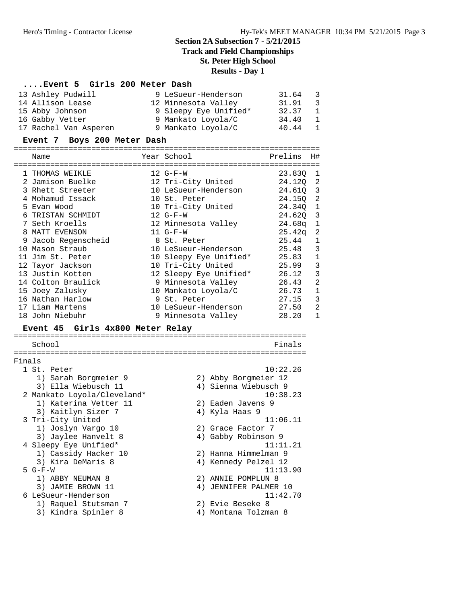**Track and Field Championships**

# **St. Peter High School**

#### **Results - Day 1**

# **....Event 5 Girls 200 Meter Dash**

| 13 Ashley Pudwill     | 9 LeSueur-Henderson   | 31.64 | - 3            |
|-----------------------|-----------------------|-------|----------------|
| 14 Allison Lease      | 12 Minnesota Valley   | 31.91 | - 3            |
| 15 Abby Johnson       | 9 Sleepy Eye Unified* | 32.37 | -1             |
| 16 Gabby Vetter       | 9 Mankato Loyola/C    | 34.40 | $\overline{1}$ |
| 17 Rachel Van Asperen | 9 Mankato Loyola/C    | 40.44 | -1             |

# **Event 7 Boys 200 Meter Dash**

| Name                |  | Year School            | Prelims    | H#             |  |  |  |
|---------------------|--|------------------------|------------|----------------|--|--|--|
| 1 THOMAS WEIKLE     |  | $12 G-F-W$             | 23.830     | - 1            |  |  |  |
| 2 Jamison Buelke    |  | 12 Tri-City United     | 24.12Q 2   |                |  |  |  |
| 3 Rhett Streeter    |  | 10 LeSueur-Henderson   | $24.61Q$ 3 |                |  |  |  |
| 4 Mohamud Issack    |  | 10 St. Peter           | 24.150     | 2              |  |  |  |
| 5 Evan Wood         |  | 10 Tri-City United     | 24.34Q     | $\mathbf{1}$   |  |  |  |
| TRISTAN SCHMIDT     |  | $12 G-F-W$             | 24.620     | 3              |  |  |  |
| 7 Seth Kroells      |  | 12 Minnesota Valley    | 24.68a     | $\mathbf{1}$   |  |  |  |
| 8 MATT EVENSON      |  | $11 G-F-W$             | 25.42a     | 2              |  |  |  |
| 9 Jacob Regenscheid |  | 8 St. Peter            | 25.44      | $\mathbf{1}$   |  |  |  |
| 10 Mason Straub     |  | 10 LeSueur-Henderson   | 25.48      | 3              |  |  |  |
| 11 Jim St. Peter    |  | 10 Sleepy Eye Unified* | 25.83      | $\mathbf{1}$   |  |  |  |
| 12 Tayor Jackson    |  | 10 Tri-City United     | 25.99      | 3              |  |  |  |
| 13 Justin Kotten    |  | 12 Sleepy Eye Unified* | 26.12      | 3              |  |  |  |
| 14 Colton Braulick  |  | 9 Minnesota Valley     | 26.43      | 2              |  |  |  |
| 15 Joey Zalusky     |  | 10 Mankato Loyola/C    | 26.73      | $\mathbf{1}$   |  |  |  |
| 16 Nathan Harlow    |  | 9 St. Peter            | 27.15      | 3              |  |  |  |
| 17 Liam Martens     |  | 10 LeSueur-Henderson   | 27.50      | $\overline{2}$ |  |  |  |
| 18 John Niebuhr     |  | 9 Minnesota Valley     | 28.20      | $\mathbf{1}$   |  |  |  |

# **Event 45 Girls 4x800 Meter Relay**

| School                      | Finals                   |  |  |  |  |
|-----------------------------|--------------------------|--|--|--|--|
|                             |                          |  |  |  |  |
| Finals                      |                          |  |  |  |  |
| 1 St. Peter                 | 10:22.26                 |  |  |  |  |
| 1) Sarah Borgmeier 9        | 2) Abby Borgmeier 12     |  |  |  |  |
| 3) Ella Wiebusch 11         | 4) Sienna Wiebusch 9     |  |  |  |  |
| 2 Mankato Loyola/Cleveland* | 10:38.23                 |  |  |  |  |
| 1) Katerina Vetter 11       | 2) Eaden Javens 9        |  |  |  |  |
| 3) Kaitlyn Sizer 7          | 4) Kyla Haas 9           |  |  |  |  |
| 3 Tri-City United           | 11:06.11                 |  |  |  |  |
| 1) Joslyn Vargo 10          | 2) Grace Factor 7        |  |  |  |  |
| 3) Jaylee Hanvelt 8         | 4) Gabby Robinson 9      |  |  |  |  |
| 4 Sleepy Eye Unified*       | 11:11.21                 |  |  |  |  |
| 1) Cassidy Hacker 10        | 2) Hanna Himmelman 9     |  |  |  |  |
| 3) Kira DeMaris 8           | 4) Kennedy Pelzel 12     |  |  |  |  |
| $5 G-F-W$                   | 11:13.90                 |  |  |  |  |
| 1) ABBY NEUMAN 8            | ANNIE POMPLUN 8<br>2)    |  |  |  |  |
| 3) JAMIE BROWN 11           | JENNIFER PALMER 10<br>4) |  |  |  |  |
| 6 LeSueur-Henderson         | 11:42.70                 |  |  |  |  |
| 1) Raquel Stutsman 7        | 2) Evie Beseke 8         |  |  |  |  |
| 3) Kindra Spinler 8         | Montana Tolzman 8<br>4)  |  |  |  |  |
|                             |                          |  |  |  |  |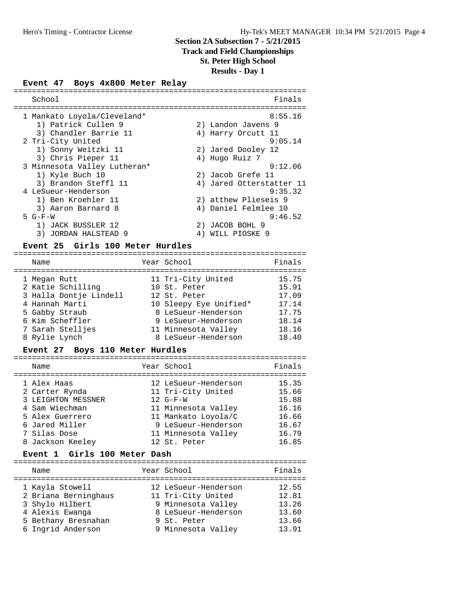# **Track and Field Championships**

**St. Peter High School**

# **Results - Day 1**

# **Event 47 Boys 4x800 Meter Relay**

| Finals                   |
|--------------------------|
|                          |
| 8:55.16                  |
| 2) Landon Javens 9       |
| Harry Orcutt 11<br>4)    |
| 9:05.14                  |
| 2) Jared Dooley 12       |
| 4) Hugo Ruiz 7           |
| 9:12.06                  |
| 2) Jacob Grefe 11        |
| 4) Jared Otterstatter 11 |
| 9:35.32                  |
| 2) atthew Plieseis 9     |
| 4) Daniel Felmlee 10     |
| 9:46.52                  |
| JACOB BOHL 9<br>2)       |
| WILL PIOSKE 9<br>4)      |
|                          |

#### **Event 25 Girls 100 Meter Hurdles**

| Name                   | Year School            | Finals |
|------------------------|------------------------|--------|
| 1 Megan Rutt           | 11 Tri-City United     | 15.75  |
| 2 Katie Schilling      | 10 St. Peter           | 15.91  |
| 3 Halla Dontje Lindell | 12 St. Peter           | 17.09  |
| 4 Hannah Marti         | 10 Sleepy Eye Unified* | 17.14  |
| 5 Gabby Straub         | 8 LeSueur-Henderson    | 17.75  |
| 6 Kim Scheffler        | 9 LeSueur-Henderson    | 18.14  |
| 7 Sarah Stelljes       | 11 Minnesota Valley    | 18.16  |
| 8 Rylie Lynch          | 8 LeSueur-Henderson    | 18.40  |

#### **Event 27 Boys 110 Meter Hurdles**

| Name               | Year School          | Finals |
|--------------------|----------------------|--------|
| 1 Alex Haas        | 12 LeSueur-Henderson | 15.35  |
| 2 Carter Rynda     | 11 Tri-City United   | 15.66  |
| 3 LEIGHTON MESSNER | $12 G-F-W$           | 15.88  |
| 4 Sam Wiechman     | 11 Minnesota Valley  | 16.16  |
| 5 Alex Guerrero    | 11 Mankato Loyola/C  | 16.66  |
| 6 Jared Miller     | 9 LeSueur-Henderson  | 16.67  |
| 7 Silas Dose       | 11 Minnesota Valley  | 16.79  |
| 8 Jackson Keeley   | 12 St. Peter         | 16.85  |
|                    |                      |        |

#### **Event 1 Girls 100 Meter Dash**

| Name                 | Year School          | Finals |
|----------------------|----------------------|--------|
| 1 Kayla Stowell      | 12 LeSueur-Henderson | 12.55  |
| 2 Briana Berninghaus | 11 Tri-City United   | 12.81  |
| 3 Shylo Hilbert      | 9 Minnesota Valley   | 13.26  |
| 4 Alexis Ewanga      | 8 LeSueur-Henderson  | 13.60  |
| 5 Bethany Bresnahan  | 9 St. Peter          | 13.66  |
| 6 Ingrid Anderson    | 9 Minnesota Valley   | 13.91  |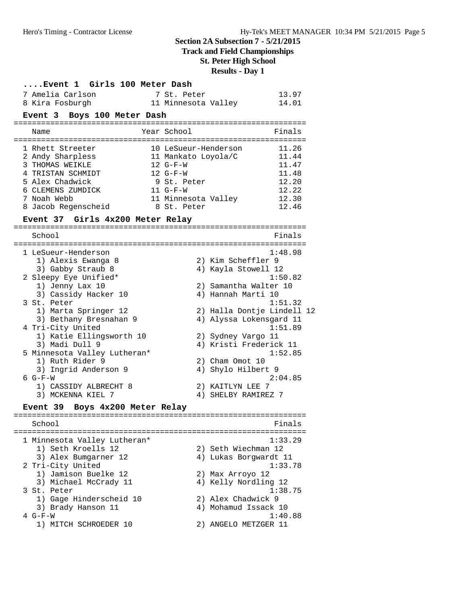# **Track and Field Championships**

**St. Peter High School**

# **Results - Day 1**

|                             | Event 1 Girls 100 Meter Dash                                                                                                                                                                                                                                                                                              |  |                                                                                                                                            |                                                                                                                                                                                                                                                                             |  |  |  |
|-----------------------------|---------------------------------------------------------------------------------------------------------------------------------------------------------------------------------------------------------------------------------------------------------------------------------------------------------------------------|--|--------------------------------------------------------------------------------------------------------------------------------------------|-----------------------------------------------------------------------------------------------------------------------------------------------------------------------------------------------------------------------------------------------------------------------------|--|--|--|
|                             | 7 Amelia Carlson                                                                                                                                                                                                                                                                                                          |  | 7 St. Peter                                                                                                                                | 13.97                                                                                                                                                                                                                                                                       |  |  |  |
|                             | 8 Kira Fosburgh                                                                                                                                                                                                                                                                                                           |  |                                                                                                                                            | 11 Minnesota Valley<br>14.01                                                                                                                                                                                                                                                |  |  |  |
| Event 3 Boys 100 Meter Dash |                                                                                                                                                                                                                                                                                                                           |  |                                                                                                                                            |                                                                                                                                                                                                                                                                             |  |  |  |
|                             | Name                                                                                                                                                                                                                                                                                                                      |  | Year School                                                                                                                                | Finals                                                                                                                                                                                                                                                                      |  |  |  |
|                             | 1 Rhett Streeter<br>2 Andy Sharpless<br>3 THOMAS WEIKLE<br>4 TRISTAN SCHMIDT<br>5 Alex Chadwick<br>6 CLEMENS ZUMDICK<br>7 Noah Webb<br>8 Jacob Regenscheid                                                                                                                                                                |  | 10 LeSueur-Henderson<br>11 Mankato Loyola/C<br>$12 G-F-W$<br>$12 G-F-W$<br>9 St. Peter<br>$11 G-F-W$<br>11 Minnesota Valley<br>8 St. Peter | 11.26<br>11.44<br>11.47<br>11.48<br>12.20<br>12.22<br>12.30<br>12.46                                                                                                                                                                                                        |  |  |  |
|                             | Event 37 Girls 4x200 Meter Relay                                                                                                                                                                                                                                                                                          |  |                                                                                                                                            |                                                                                                                                                                                                                                                                             |  |  |  |
|                             | School                                                                                                                                                                                                                                                                                                                    |  |                                                                                                                                            | Finals                                                                                                                                                                                                                                                                      |  |  |  |
|                             | 1 LeSueur-Henderson<br>1) Alexis Ewanga 8<br>3) Gabby Straub 8<br>2 Sleepy Eye Unified*<br>1) Jenny Lax 10<br>3) Cassidy Hacker 10<br>3 St. Peter<br>1) Marta Springer 12<br>3) Bethany Bresnahan 9<br>4 Tri-City United<br>1) Katie Ellingsworth 10<br>3) Madi Dull 9<br>5 Minnesota Valley Lutheran*<br>1) Ruth Rider 9 |  |                                                                                                                                            | 1:48.98<br>2) Kim Scheffler 9<br>4) Kayla Stowell 12<br>1:50.82<br>2) Samantha Walter 10<br>4) Hannah Marti 10<br>1:51.32<br>2) Halla Dontje Lindell 12<br>4) Alyssa Lokensgard 11<br>1:51.89<br>2) Sydney Vargo 11<br>4) Kristi Frederick 11<br>1:52.85<br>2) Cham Omot 10 |  |  |  |
|                             | 3) Ingrid Anderson 9<br>6 G-F-W<br>1) CASSIDY ALBRECHT 8                                                                                                                                                                                                                                                                  |  |                                                                                                                                            | 4) Shylo Hilbert 9<br>2:04.85<br>2) KAITLYN LEE 7                                                                                                                                                                                                                           |  |  |  |
|                             | 3) MCKENNA KIEL 7                                                                                                                                                                                                                                                                                                         |  |                                                                                                                                            | 4) SHELBY RAMIREZ 7                                                                                                                                                                                                                                                         |  |  |  |
|                             | Boys 4x200 Meter Relay<br><b>Event 39</b>                                                                                                                                                                                                                                                                                 |  |                                                                                                                                            |                                                                                                                                                                                                                                                                             |  |  |  |
|                             | School                                                                                                                                                                                                                                                                                                                    |  |                                                                                                                                            | Finals                                                                                                                                                                                                                                                                      |  |  |  |
|                             | 1 Minnesota Valley Lutheran*                                                                                                                                                                                                                                                                                              |  |                                                                                                                                            | ==================<br>1:33.29                                                                                                                                                                                                                                               |  |  |  |
|                             | 1) Seth Kroells 12<br>3) Alex Bumgarner 12                                                                                                                                                                                                                                                                                |  |                                                                                                                                            | 2) Seth Wiechman 12<br>4) Lukas Borgwardt 11                                                                                                                                                                                                                                |  |  |  |
|                             | 2 Tri-City United<br>1) Jamison Buelke 12<br>3) Michael McCrady 11                                                                                                                                                                                                                                                        |  |                                                                                                                                            | 1:33.78<br>2) Max Arroyo 12<br>4) Kelly Nordling 12                                                                                                                                                                                                                         |  |  |  |
|                             | 3 St. Peter<br>1) Gage Hinderscheid 10                                                                                                                                                                                                                                                                                    |  |                                                                                                                                            | 1:38.75<br>2) Alex Chadwick 9                                                                                                                                                                                                                                               |  |  |  |
|                             | 3) Brady Hanson 11<br>$4 G-F-W$<br>1) MITCH SCHROEDER 10                                                                                                                                                                                                                                                                  |  |                                                                                                                                            | 4) Mohamud Issack 10<br>1:40.88<br>2) ANGELO METZGER 11                                                                                                                                                                                                                     |  |  |  |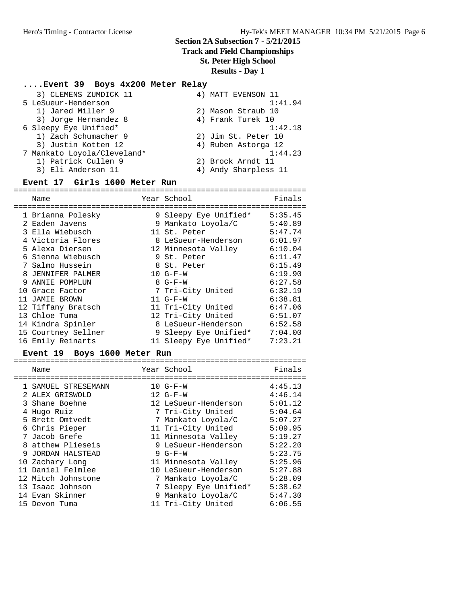# **Track and Field Championships**

# **St. Peter High School**

# **Results - Day 1**

# **....Event 39 Boys 4x200 Meter Relay**

| 3) CLEMENS ZUMDICK 11       | 4) MATT EVENSON 11   |
|-----------------------------|----------------------|
| 5 LeSueur-Henderson         | 1:41.94              |
| 1) Jared Miller 9           | 2) Mason Straub 10   |
| 3) Jorge Hernandez 8        | 4) Frank Turek 10    |
| 6 Sleepy Eye Unified*       | 1:42.18              |
| 1) Zach Schumacher 9        | 2) Jim St. Peter 10  |
| 3) Justin Kotten 12         | 4) Ruben Astorga 12  |
| 7 Mankato Loyola/Cleveland* | 1:44.23              |
| 1) Patrick Cullen 9         | 2) Brock Arndt 11    |
| 3) Eli Anderson 11          | 4) Andy Sharpless 11 |
|                             |                      |

# **Event 17 Girls 1600 Meter Run**

|     | Name                |   | Year School            | Finals  |
|-----|---------------------|---|------------------------|---------|
|     |                     |   |                        |         |
|     | 1 Brianna Polesky   |   | 9 Sleepy Eye Unified*  | 5:35.45 |
|     | 2 Eaden Javens      |   | 9 Mankato Loyola/C     | 5:40.89 |
|     | 3 Ella Wiebusch     |   | 11 St. Peter           | 5:47.74 |
|     | 4 Victoria Flores   |   | 8 LeSueur-Henderson    | 6:01.97 |
|     | 5 Alexa Diersen     |   | 12 Minnesota Valley    | 6:10.04 |
|     | 6 Sienna Wiebusch   |   | 9 St. Peter            | 6:11.47 |
|     | 7 Salmo Hussein     |   | 8 St. Peter            | 6:15.49 |
|     | 8 JENNIFER PALMER   |   | $10 G-F-W$             | 6:19.90 |
| 9   | ANNIE POMPLUN       |   | $8 G-F-W$              | 6:27.58 |
| 1 O | Grace Factor        |   | 7 Tri-City United      | 6:32.19 |
|     | 11 JAMIE BROWN      |   | $11 G-F-W$             | 6:38.81 |
|     | 12 Tiffany Bratsch  |   | 11 Tri-City United     | 6:47.06 |
|     | 13 Chloe Tuma       |   | 12 Tri-City United     | 6:51.07 |
|     | 14 Kindra Spinler   | 8 | LeSueur-Henderson      | 6:52.58 |
|     | 15 Courtney Sellner |   | 9 Sleepy Eye Unified*  | 7:04.00 |
|     | 16 Emily Reinarts   |   | 11 Sleepy Eye Unified* | 7:23.21 |

# **Event 19 Boys 1600 Meter Run**

| Name                | Year School           | Finals  |
|---------------------|-----------------------|---------|
|                     |                       |         |
| 1 SAMUEL STRESEMANN | $10 G-F-W$            | 4:45.13 |
| 2 ALEX GRISWOLD     | $12 G-F-W$            | 4:46.14 |
| 3 Shane Boehne      | 12 LeSueur-Henderson  | 5:01.12 |
| 4 Hugo Ruiz         | 7 Tri-City United     | 5:04.64 |
| 5 Brett Omtvedt     | 7 Mankato Loyola/C    | 5:07.27 |
| 6 Chris Pieper      | 11 Tri-City United    | 5:09.95 |
| 7 Jacob Grefe       | 11 Minnesota Valley   | 5:19.27 |
| 8 atthew Plieseis   | 9 LeSueur-Henderson   | 5:22.20 |
| 9 JORDAN HALSTEAD   | $9 G-F-W$             | 5:23.75 |
| 10 Zachary Long     | 11 Minnesota Valley   | 5:25.96 |
| 11 Daniel Felmlee   | 10 LeSueur-Henderson  | 5:27.88 |
| 12 Mitch Johnstone  | 7 Mankato Loyola/C    | 5:28.09 |
| 13 Isaac Johnson    | 7 Sleepy Eye Unified* | 5:38.62 |
| 14 Evan Skinner     | 9 Mankato Loyola/C    | 5:47.30 |
| 15 Devon Tuma       | 11 Tri-City United    | 6:06.55 |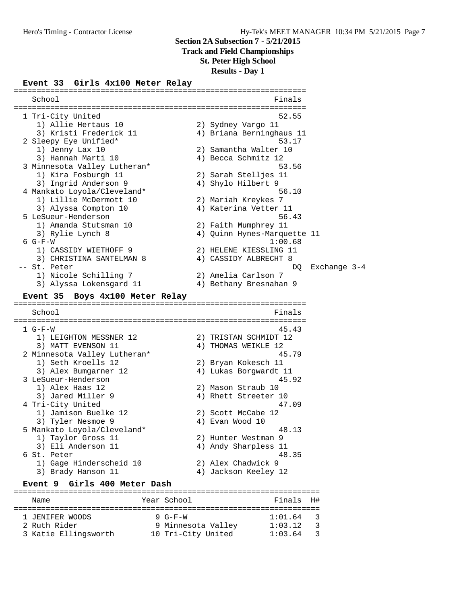# **Track and Field Championships**

**St. Peter High School**

**Results - Day 1**

#### **Event 33 Girls 4x100 Meter Relay**

================================================================ School Finals ================================================================ 1 Tri-City United 52.55 1) Allie Hertaus 10 2) Sydney Vargo 11 3) Kristi Frederick 11 4) Briana Berninghaus 11 2 Sleepy Eye Unified\* 53.17 1) Jenny Lax 10 2) Samantha Walter 10 3) Hannah Marti 10 4) Becca Schmitz 12 3 Minnesota Valley Lutheran\* 53.56 1) Kira Fosburgh 11 2) Sarah Stelljes 11 3) Ingrid Anderson 9 4) Shylo Hilbert 9 4 Mankato Loyola/Cleveland\* 56.10 1) Lillie McDermott 10 2) Mariah Kreykes 7 3) Alyssa Compton 10 4) Katerina Vetter 11 5 LeSueur-Henderson 56.43 1) Amanda Stutsman 10 2) Faith Mumphrey 11 3) Rylie Lynch 8 4) Quinn Hynes-Marquette 11 6 G-F-W 1:00.68 1) CASSIDY WIETHOFF 9 2) HELENE KIESSLING 11 3) CHRISTINA SANTELMAN 8 4) CASSIDY ALBRECHT 8 -- St. Peter DQ Exchange 3-4 1) Nicole Schilling 7 2) Amelia Carlson 7 3) Alyssa Lokensgard 11 4) Bethany Bresnahan 9 **Event 35 Boys 4x100 Meter Relay** ================================================================ School **Finals** ================================================================ 1 G-F-W 45.43 1) LEIGHTON MESSNER 12 2) TRISTAN SCHMIDT 12 3) MATT EVENSON 11 4) THOMAS WEIKLE 12 2 Minnesota Valley Lutheran\* 45.79 1) Seth Kroells 12 2) Bryan Kokesch 11 3) Alex Bumgarner 12 4) Lukas Borgwardt 11 3 LeSueur-Henderson 45.92 1) Alex Haas 12 2) Mason Straub 10 3) Jared Miller 9 4) Rhett Streeter 10 4 Tri-City United 47.09 1) Jamison Buelke 12 2) Scott McCabe 12 3) Tyler Nesmoe 9 (2008) 4) Evan Wood 10 5 Mankato Loyola/Cleveland\* 48.13 1) Taylor Gross 11 2) Hunter Westman 9 3) Eli Anderson 11 4) Andy Sharpless 11 6 St. Peter 48.35 1) Gage Hinderscheid 10 2) Alex Chadwick 9 3) Brady Hanson 11 (4) Jackson Keeley 12 **Event 9 Girls 400 Meter Dash**

#### =================================================================== Name Year School Finals H# =================================================================== 1 JENIFER WOODS 9 G-F-W 1:01.64 3 2 Ruth Rider 9 Minnesota Valley 1:03.12 3 3 Katie Ellingsworth 10 Tri-City United 1:03.64 3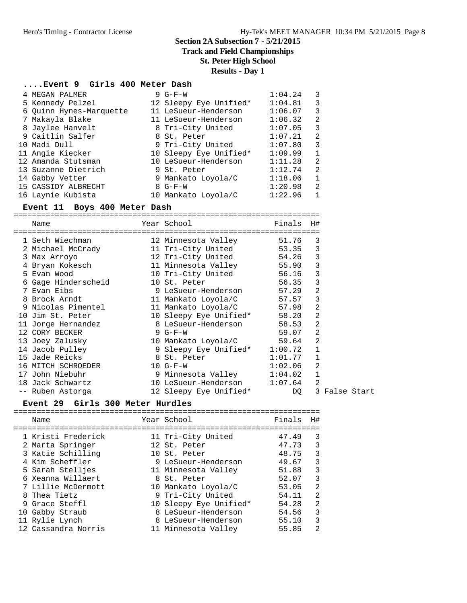## **Track and Field Championships**

# **St. Peter High School**

# **Results - Day 1**

#### **....Event 9 Girls 400 Meter Dash**

| 4 MEGAN PALMER          | $9 G-F-W$              | 1:04.24 | 3            |
|-------------------------|------------------------|---------|--------------|
| 5 Kennedy Pelzel        | 12 Sleepy Eye Unified* | 1:04.81 | 3            |
| 6 Quinn Hynes-Marquette | 11 LeSueur-Henderson   | 1:06.07 | 3            |
| 7 Makayla Blake         | 11 LeSueur-Henderson   | 1:06.32 | 2            |
| 8 Jaylee Hanvelt        | 8 Tri-City United      | 1:07.05 | 3            |
| 9 Caitlin Salfer        | 8 St. Peter            | 1:07.21 | 2            |
| 10 Madi Dull            | 9 Tri-City United      | 1:07.80 | 3            |
| 11 Angie Kiecker        | 10 Sleepy Eye Unified* | 1:09.99 | $\mathbf{1}$ |
| 12 Amanda Stutsman      | 10 LeSueur-Henderson   | 1:11.28 | 2            |
| 13 Suzanne Dietrich     | 9 St. Peter            | 1:12.74 | 2            |
| 14 Gabby Vetter         | 9 Mankato Loyola/C     | 1:18.06 | 1            |
| 15 CASSIDY ALBRECHT     | $8 G-F-W$              | 1:20.98 | 2            |
| 16 Laynie Kubista       | 10 Mankato Loyola/C    | 1:22.96 | $\mathbf{1}$ |

#### **Event 11 Boys 400 Meter Dash**

=================================================================== Name  $Year School$  Finals H# =================================================================== 1 Seth Wiechman 12 Minnesota Valley 51.76 3 2 Michael McCrady 11 Tri-City United 53.35 3 3 Max Arroyo 12 Tri-City United 54.26 3 4 Bryan Kokesch 11 Minnesota Valley 55.90 3 5 Evan Wood 10 Tri-City United 56.16 3 6 Gage Hinderscheid 10 St. Peter 56.35 3 7 Evan Eibs 9 LeSueur-Henderson 57.29 2 8 Brock Arndt 11 Mankato Loyola/C 57.57 3 9 Nicolas Pimentel 11 Mankato Loyola/C 57.98 2 10 Jim St. Peter 10 Sleepy Eye Unified\* 58.20 2 11 Jorge Hernandez 8 LeSueur-Henderson 58.53 2 12 CORY BECKER 9 G-F-W 59.07 2 13 Joey Zalusky 10 Mankato Loyola/C 59.64 2 14 Jacob Pulley 9 Sleepy Eye Unified\* 1:00.72 1 15 Jade Reicks 8 St. Peter 1:01.77 1 16 MITCH SCHROEDER 10 G-F-W 1:02.06 2 17 John Niebuhr 9 Minnesota Valley 1:04.02 1 18 Jack Schwartz 10 LeSueur-Henderson 1:07.64 2 -- Ruben Astorga 12 Sleepy Eye Unified\* DQ 3 False Start

#### **Event 29 Girls 300 Meter Hurdles**

| Name                                                                                                                                                                                               | Year School                                                                                                                                                                                                  | Finals                                                                                 | H#                                                    |
|----------------------------------------------------------------------------------------------------------------------------------------------------------------------------------------------------|--------------------------------------------------------------------------------------------------------------------------------------------------------------------------------------------------------------|----------------------------------------------------------------------------------------|-------------------------------------------------------|
| 1 Kristi Frederick<br>2 Marta Springer<br>3 Katie Schilling<br>4 Kim Scheffler<br>5 Sarah Stelljes<br>6 Xeanna Willaert<br>7 Lillie McDermott<br>8 Thea Tietz<br>9 Grace Steffl<br>10 Gabby Straub | 11 Tri-City United<br>12 St. Peter<br>10 St. Peter<br>9 LeSueur-Henderson<br>11 Minnesota Valley<br>8 St. Peter<br>10 Mankato Loyola/C<br>9 Tri-City United<br>10 Sleepy Eye Unified*<br>8 LeSueur-Henderson | 47.49<br>47.73<br>48.75<br>49.67<br>51.88<br>52.07<br>53.05<br>54.11<br>54.28<br>54.56 | 3<br>3<br>3<br>3<br>3<br>$\mathcal{L}$<br>2<br>2<br>3 |
| 11 Rylie Lynch<br>12 Cassandra Norris                                                                                                                                                              | 8 LeSueur-Henderson<br>11 Minnesota Valley                                                                                                                                                                   | 55.10<br>55.85                                                                         | 3<br>2                                                |
|                                                                                                                                                                                                    |                                                                                                                                                                                                              |                                                                                        |                                                       |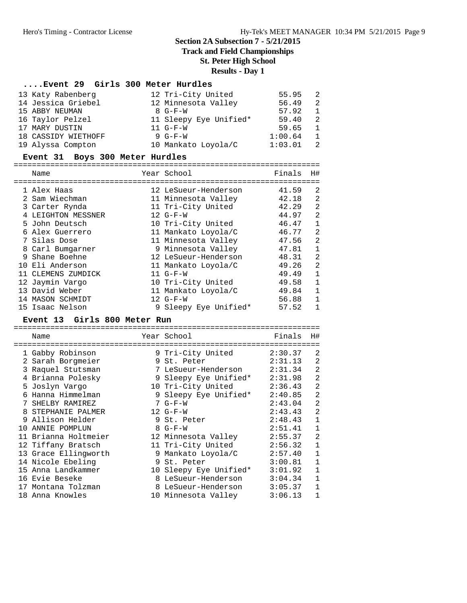**Track and Field Championships**

**St. Peter High School**

**Results - Day 1**

# **....Event 29 Girls 300 Meter Hurdles**

| 13 Katy Rabenberg   | 12 Tri-City United     | 55.95   | - 2            |
|---------------------|------------------------|---------|----------------|
| 14 Jessica Griebel  | 12 Minnesota Valley    | 56.49   | $\overline{2}$ |
| 15 ABBY NEUMAN      | $8$ $G-F-W$            | 57.92   | $\overline{1}$ |
| 16 Taylor Pelzel    | 11 Sleepy Eye Unified* | 59.40   | - 2.           |
| 17 MARY DUSTIN      | $11 G-F-W$             | 59.65   | $\overline{1}$ |
| 18 CASSIDY WIETHOFF | 9 $G-F-W$              | 1:00.64 | $\overline{1}$ |
| 19 Alyssa Compton   | 10 Mankato Loyola/C    | 1:03.01 | - 2.           |

#### **Event 31 Boys 300 Meter Hurdles**

===================================================================

| Name               | Year School           | Finals | H#             |
|--------------------|-----------------------|--------|----------------|
| 1 Alex Haas        | 12 LeSueur-Henderson  | 41.59  | 2              |
| 2 Sam Wiechman     | 11 Minnesota Valley   | 42.18  | 2              |
| 3 Carter Rynda     | 11 Tri-City United    | 42.29  | 2              |
| 4 LEIGHTON MESSNER | $12 G-F-W$            | 44.97  | 2              |
| 5 John Deutsch     | 10 Tri-City United    | 46.47  | 1              |
| 6 Alex Guerrero    | 11 Mankato Loyola/C   | 46.77  | $\overline{2}$ |
| 7 Silas Dose       | 11 Minnesota Valley   | 47.56  | $\overline{2}$ |
| 8 Carl Bumgarner   | 9 Minnesota Valley    | 47.81  | 1              |
| 9 Shane Boehne     | 12 LeSueur-Henderson  | 48.31  | 2              |
| 10 Eli Anderson    | 11 Mankato Loyola/C   | 49.26  | 2              |
| 11 CLEMENS ZUMDICK | $11 G-F-W$            | 49.49  | $\mathbf{1}$   |
| 12 Jaymin Vargo    | 10 Tri-City United    | 49.58  | $\mathbf 1$    |
| 13 David Weber     | 11 Mankato Loyola/C   | 49.84  | 1              |
| 14 MASON SCHMIDT   | $12 G-F-W$            | 56.88  | 1              |
| 15 Isaac Nelson    | 9 Sleepy Eye Unified* | 57.52  | 1              |

#### **Event 13 Girls 800 Meter Run**

|  | Name                 |   | Year School            | Finals  | H#             |
|--|----------------------|---|------------------------|---------|----------------|
|  | 1 Gabby Robinson     |   | 9 Tri-City United      | 2:30.37 | 2              |
|  | 2 Sarah Borgmeier    |   | 9 St. Peter            | 2:31.13 | 2              |
|  | 3 Raquel Stutsman    |   | 7 LeSueur-Henderson    | 2:31.34 | 2              |
|  | 4 Brianna Polesky    |   | 9 Sleepy Eye Unified*  | 2:31.98 | $\overline{2}$ |
|  | 5 Joslyn Vargo       |   | 10 Tri-City United     | 2:36.43 | $\overline{2}$ |
|  | Hanna Himmelman      |   | 9 Sleepy Eye Unified*  | 2:40.85 | $\overline{2}$ |
|  | SHELBY RAMIREZ       |   | $7 G-F-W$              | 2:43.04 | $\overline{2}$ |
|  | STEPHANIE PALMER     |   | $12 G-F-W$             | 2:43.43 | $\overline{2}$ |
|  | 9 Allison Helder     |   | 9 St. Peter            | 2:48.43 | $\mathbf{1}$   |
|  | 10 ANNIE POMPLUN     |   | $8$ G-F-W              | 2:51.41 | $\mathbf{1}$   |
|  | 11 Brianna Holtmeier |   | 12 Minnesota Valley    | 2:55.37 | $\overline{2}$ |
|  | 12 Tiffany Bratsch   |   | 11 Tri-City United     | 2:56.32 | $\mathbf 1$    |
|  | 13 Grace Ellingworth |   | 9 Mankato Loyola/C     | 2:57.40 | $\mathbf{1}$   |
|  | 14 Nicole Ebeling    | 9 | St. Peter              | 3:00.81 | $\mathbf 1$    |
|  | 15 Anna Landkammer   |   | 10 Sleepy Eye Unified* | 3:01.92 | $\mathbf{1}$   |
|  | 16 Evie Beseke       |   | 8 LeSueur-Henderson    | 3:04.34 | $\mathbf 1$    |
|  | 17 Montana Tolzman   |   | 8 LeSueur-Henderson    | 3:05.37 | $\mathbf{1}$   |
|  | 18 Anna Knowles      |   | 10 Minnesota Valley    | 3:06.13 | 1              |
|  |                      |   |                        |         |                |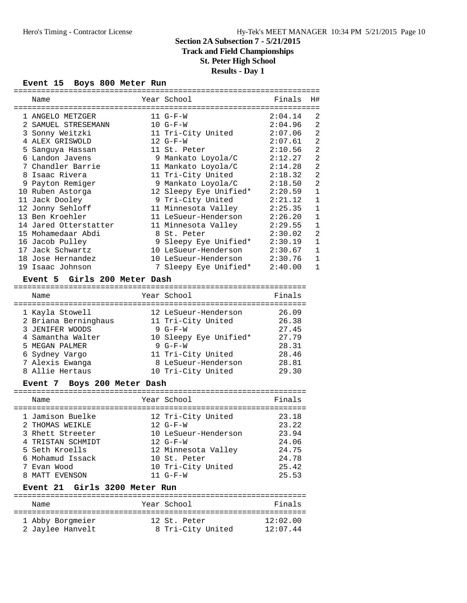# **Track and Field Championships**

# **St. Peter High School**

# **Results - Day 1**

#### **Event 15 Boys 800 Meter Run**

|   | Name                  |   | Year School            | Finals  | H#             |  |  |  |  |
|---|-----------------------|---|------------------------|---------|----------------|--|--|--|--|
|   |                       |   |                        |         |                |  |  |  |  |
|   | 1 ANGELO METZGER      |   | $11 G-F-W$             | 2:04.14 | 2              |  |  |  |  |
|   | SAMUEL STRESEMANN     |   | $10 G-F-W$             | 2:04.96 | $\overline{2}$ |  |  |  |  |
|   | 3 Sonny Weitzki       |   | 11 Tri-City United     | 2:07.06 | $\overline{2}$ |  |  |  |  |
|   | 4 ALEX GRISWOLD       |   | $12 G-F-W$             | 2:07.61 | $\overline{2}$ |  |  |  |  |
|   | 5 Sanguya Hassan      |   | 11 St. Peter           | 2:10.56 | $\overline{2}$ |  |  |  |  |
| 6 | Landon Javens         |   | 9 Mankato Loyola/C     | 2:12.27 | $\overline{2}$ |  |  |  |  |
|   | 7 Chandler Barrie     |   | 11 Mankato Loyola/C    | 2:14.28 | $\overline{2}$ |  |  |  |  |
|   | 8 Isaac Rivera        |   | 11 Tri-City United     | 2:18.32 | $\overline{2}$ |  |  |  |  |
|   | 9 Payton Remiger      |   | 9 Mankato Loyola/C     | 2:18.50 | $\overline{2}$ |  |  |  |  |
|   | 10 Ruben Astorga      |   | 12 Sleepy Eye Unified* | 2:20.59 | $\mathbf{1}$   |  |  |  |  |
|   | 11 Jack Dooley        |   | 9 Tri-City United      | 2:21.12 | $\mathbf 1$    |  |  |  |  |
|   | 12 Jonny Sehloff      |   | 11 Minnesota Valley    | 2:25.35 | $\mathbf{1}$   |  |  |  |  |
|   | 13 Ben Kroehler       |   | 11 LeSueur-Henderson   | 2:26.20 | $\mathbf{1}$   |  |  |  |  |
|   | 14 Jared Otterstatter |   | 11 Minnesota Valley    | 2:29.55 | $\mathbf{1}$   |  |  |  |  |
|   | 15 Mohamedaar Abdi    |   | 8 St. Peter            | 2:30.02 | $\overline{2}$ |  |  |  |  |
|   | 16 Jacob Pulley       |   | 9 Sleepy Eye Unified*  | 2:30.19 | $\mathbf{1}$   |  |  |  |  |
|   | 17 Jack Schwartz      |   | 10 LeSueur-Henderson   | 2:30.67 | $\mathbf{1}$   |  |  |  |  |
|   | 18 Jose Hernandez     |   | 10 LeSueur-Henderson   | 2:30.76 | $\mathbf{1}$   |  |  |  |  |
|   | 19 Isaac Johnson      | 7 | Sleepy Eye Unified*    | 2:40.00 | $\mathbf{1}$   |  |  |  |  |

#### **Event 5 Girls 200 Meter Dash**

| Name                 | Year School            | Finals |
|----------------------|------------------------|--------|
| 1 Kayla Stowell      | 12 LeSueur-Henderson   | 26.09  |
| 2 Briana Berninghaus | 11 Tri-City United     | 26.38  |
| 3 JENIFER WOODS      | $9 G-F-W$              | 27.45  |
| 4 Samantha Walter    | 10 Sleepy Eye Unified* | 27.79  |
| 5 MEGAN PALMER       | $9 G-F-W$              | 28.31  |
| 6 Sydney Vargo       | 11 Tri-City United     | 28.46  |
| 7 Alexis Ewanga      | 8 LeSueur-Henderson    | 28.81  |
| 8 Allie Hertaus      | 10 Tri-City United     | 29.30  |

### **Event 7 Boys 200 Meter Dash**

| Finals<br>Year School<br>Name<br>1 Jamison Buelke<br>12 Tri-City United<br>23.18<br>23.22<br>$12 G-F-W$<br>2 THOMAS WEIKLE<br>23.94<br>3 Rhett Streeter<br>10 LeSueur-Henderson<br>4 TRISTAN SCHMIDT<br>24.06<br>$12 G-F-W$<br>12 Minnesota Valley<br>24.75<br>5 Seth Kroells<br>6 Mohamud Issack<br>24.78<br>10 St. Peter<br>10 Tri-City United<br>25.42<br>7 Evan Wood |  |  |  |
|--------------------------------------------------------------------------------------------------------------------------------------------------------------------------------------------------------------------------------------------------------------------------------------------------------------------------------------------------------------------------|--|--|--|
|                                                                                                                                                                                                                                                                                                                                                                          |  |  |  |
| 25.53<br>8 MATT EVENSON<br>$11 G-F-W$                                                                                                                                                                                                                                                                                                                                    |  |  |  |

# **Event 21 Girls 3200 Meter Run**

| Name             | Year School       | Finals     |
|------------------|-------------------|------------|
| 1 Abby Borgmeier | 12 St. Peter      | 12:02.00   |
| 2 Jaylee Hanvelt | 8 Tri-City United | $12:07$ 44 |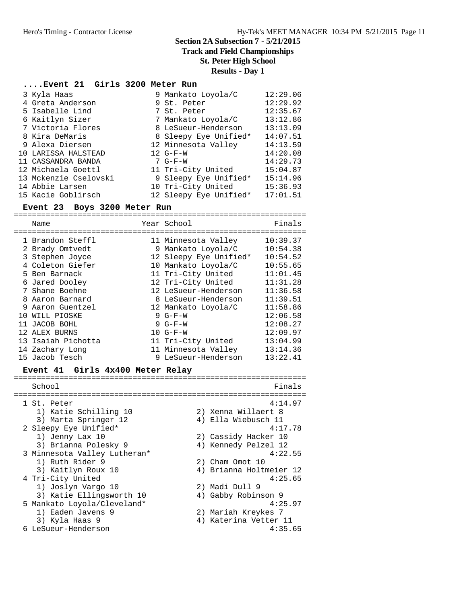# **Track and Field Championships**

**St. Peter High School**

**Results - Day 1**

4) Katerina Vetter 11<br> $4:35.65$ 

# **....Event 21 Girls 3200 Meter Run**

| 3 Kyla Haas           | 9 Mankato Loyola/C     | 12:29.06 |
|-----------------------|------------------------|----------|
| 4 Greta Anderson      | 9 St. Peter            | 12:29.92 |
| 5 Isabelle Lind       | 7 St. Peter            | 12:35.67 |
| 6 Kaitlyn Sizer       | 7 Mankato Loyola/C     | 13:12.86 |
| 7 Victoria Flores     | 8 LeSueur-Henderson    | 13:13.09 |
| 8 Kira DeMaris        | 8 Sleepy Eye Unified*  | 14:07.51 |
| 9 Alexa Diersen       | 12 Minnesota Valley    | 14:13.59 |
| 10 LARISSA HALSTEAD   | $12 G-F-W$             | 14:20.08 |
| 11 CASSANDRA BANDA    | $7 G-F-W$              | 14:29.73 |
| 12 Michaela Goettl    | 11 Tri-City United     | 15:04.87 |
| 13 Mckenzie Cselovski | 9 Sleepy Eye Unified*  | 15:14.96 |
| 14 Abbie Larsen       | 10 Tri-City United     | 15:36.93 |
| 15 Kacie Goblirsch    | 12 Sleepy Eye Unified* | 17:01.51 |

#### **Event 23 Boys 3200 Meter Run**

|   | Name                             | Finals<br>Year School              |  |
|---|----------------------------------|------------------------------------|--|
|   | 1 Brandon Steffl                 | 10:39.37<br>11 Minnesota Valley    |  |
|   | 2 Brady Omtvedt                  | 10:54.38<br>9 Mankato Loyola/C     |  |
|   | 3 Stephen Joyce                  | 12 Sleepy Eye Unified*<br>10:54.52 |  |
|   | 4 Coleton Giefer                 | 10:55.65<br>10 Mankato Loyola/C    |  |
|   | 5 Ben Barnack                    | 11 Tri-City United<br>11:01.45     |  |
|   | 6 Jared Dooley                   | 12 Tri-City United<br>11:31.28     |  |
|   | 7 Shane Boehne                   | 11:36.58<br>12 LeSueur-Henderson   |  |
|   | 8 Aaron Barnard                  | 8 LeSueur-Henderson<br>11:39.51    |  |
| 9 | Aaron Guentzel                   | 11:58.86<br>12 Mankato Loyola/C    |  |
|   | 10 WILL PIOSKE                   | 12:06.58<br>$9 G-F-W$              |  |
|   | 11 JACOB BOHL                    | $9 G-F-W$<br>12:08.27              |  |
|   | 12 ALEX BURNS                    | $10 G-F-W$<br>12:09.97             |  |
|   | 13 Isaiah Pichotta               | 11 Tri-City United<br>13:04.99     |  |
|   | 14 Zachary Long                  | 11 Minnesota Valley<br>13:14.36    |  |
|   | 15 Jacob Tesch                   | 9 LeSueur-Henderson<br>13:22.41    |  |
|   | Event 41 Girls 4x400 Meter Relay |                                    |  |
|   | School                           | Finals                             |  |
|   |                                  |                                    |  |
|   | 1 St. Peter                      | 4:14.97                            |  |
|   | 1) Katie Schilling 10            | 2) Xenna Willaert 8                |  |
|   | 3) Marta Springer 12             | 4) Ella Wiebusch 11                |  |
|   | 2 Sleepy Eye Unified*            | 4:17.78                            |  |
|   | 1) Jenny Lax 10                  | 2) Cassidy Hacker 10               |  |
|   | 3) Brianna Polesky 9             | 4) Kennedy Pelzel 12               |  |
|   | 3 Minnesota Valley Lutheran*     | 4:22.55                            |  |
|   | 1) Ruth Rider 9                  | 2) Cham Omot 10                    |  |
|   | 3) Kaitlyn Roux 10               | 4) Brianna Holtmeier 12            |  |

| 4 Tri-City United           | 4:25.65               |
|-----------------------------|-----------------------|
| 1) Joslyn Vargo 10          | 2) Madi Dull 9        |
| 3) Katie Ellingsworth 10    | 4) Gabby Robinson 9   |
| 5 Mankato Loyola/Cleveland* | 4:25.97               |
| 1) Eaden Javens 9           | 2) Mariah Kreykes 7   |
| 3) Kyla Haas 9              | 4) Katerina Vetter 11 |

```
6 LeSueur-Henderson
```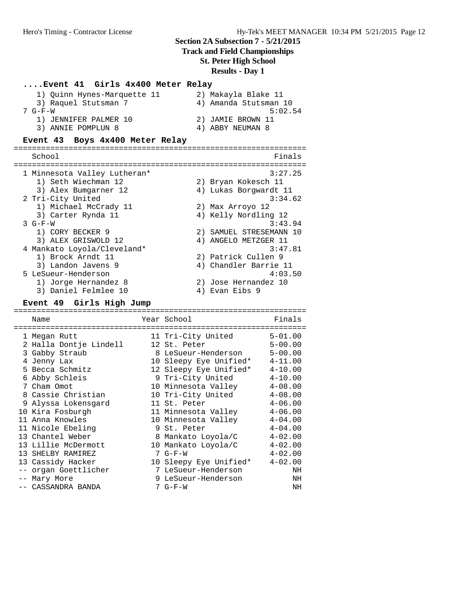# **Section 2A Subsection 7 - 5/21/2015 Track and Field Championships St. Peter High School**

**Results - Day 1**

# **....Event 41 Girls 4x400 Meter Relay**

| 1) Quinn Hynes-Marquette 11 | 2) Makayla Blake 11   |
|-----------------------------|-----------------------|
| 3) Raquel Stutsman 7        | 4) Amanda Stutsman 10 |
| $7 G-F-W$                   | 5:02.54               |
| 1) JENNIFER PALMER 10       | 2) JAMIE BROWN 11     |
| 3) ANNIE POMPLUN 8          | 4) ABBY NEUMAN 8      |

#### **Event 43 Boys 4x400 Meter Relay**

| School                       |     | Finals                |
|------------------------------|-----|-----------------------|
|                              |     |                       |
| 1 Minnesota Valley Lutheran* |     | 3:27.25               |
| 1) Seth Wiechman 12          |     | 2) Bryan Kokesch 11   |
| 3) Alex Bumgarner 12         |     | 4) Lukas Borgwardt 11 |
| 2 Tri-City United            |     | 3:34.62               |
| 1) Michael McCrady 11        |     | 2) Max Arroyo 12      |
| 3) Carter Rynda 11           |     | 4) Kelly Nordling 12  |
| $3 G-F-W$                    |     | 3:43.94               |
| 1) CORY BECKER 9             | 2.1 | SAMUEL STRESEMANN 10  |
| 3) ALEX GRISWOLD 12          |     | 4) ANGELO METZGER 11  |
| 4 Mankato Loyola/Cleveland*  |     | 3:47.81               |
| 1) Brock Arndt 11            |     | 2) Patrick Cullen 9   |
| 3) Landon Javens 9           |     | 4) Chandler Barrie 11 |
| 5 LeSueur-Henderson          |     | 4:03.50               |
| 1) Jorge Hernandez 8         | 2)  | Jose Hernandez 10     |
| 3) Daniel Felmlee 10         | 4)  | Evan Eibs 9           |

#### **Event 49 Girls High Jump**

================================================================ Name Year School Finals ================================================================ 1 Megan Rutt 11 Tri-City United 5-01.00 2 Halla Dontje Lindell 12 St. Peter 5-00.00 3 Gabby Straub 8 LeSueur-Henderson 5-00.00 4 Jenny Lax 10 Sleepy Eye Unified\* 4-11.00 5 Becca Schmitz 12 Sleepy Eye Unified\* 4-10.00 6 Abby Schleis 9 Tri-City United 4-10.00 7 Cham Omot 10 Minnesota Valley 4-08.00 8 Cassie Christian 10 Tri-City United 4-08.00 9 Alyssa Lokensgard 11 St. Peter 4-06.00 10 Kira Fosburgh 11 Minnesota Valley 4-06.00 11 Anna Knowles 10 Minnesota Valley 4-04.00 11 Nicole Ebeling 9 St. Peter 4-04.00 13 Chantel Weber 8 Mankato Loyola/C 4-02.00 13 Lillie McDermott 10 Mankato Loyola/C 4-02.00 13 SHELBY RAMIREZ 7 G-F-W  $13$  SHELBY RAMIREZ 13 Cassidy Hacker 10 Sleepy Eye Unified\* 4-02.00 -- organ Goettlicher 7 LeSueur-Henderson NH -- Mary More 9 LeSueur-Henderson NH -- CASSANDRA BANDA 7 G-F-W NH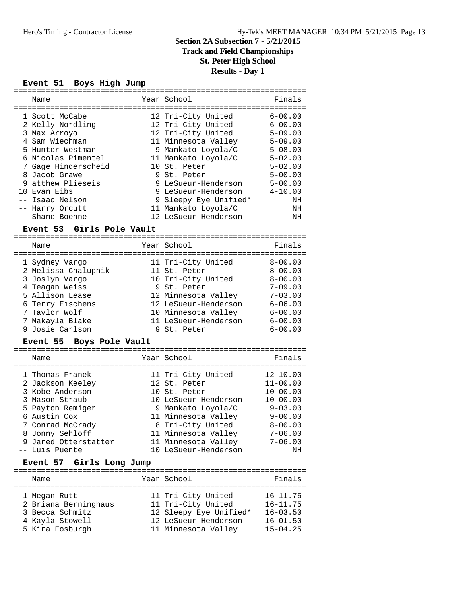# **Track and Field Championships**

**St. Peter High School**

**Results - Day 1**

#### **Event 51 Boys High Jump**

| Name                | Year School           | Finals      |
|---------------------|-----------------------|-------------|
|                     |                       |             |
| 1 Scott McCabe      | 12 Tri-City United    | $6 - 00.00$ |
| 2 Kelly Nordling    | 12 Tri-City United    | $6 - 00.00$ |
| 3 Max Arroyo        | 12 Tri-City United    | $5 - 09.00$ |
| 4 Sam Wiechman      | 11 Minnesota Valley   | $5 - 09.00$ |
| 5 Hunter Westman    | 9 Mankato Loyola/C    | $5 - 08.00$ |
| 6 Nicolas Pimentel  | 11 Mankato Loyola/C   | $5 - 02.00$ |
| 7 Gage Hinderscheid | 10 St. Peter          | $5 - 02.00$ |
| 8 Jacob Grawe       | 9 St. Peter           | $5 - 00.00$ |
| 9 atthew Plieseis   | 9 LeSueur-Henderson   | $5 - 00.00$ |
| 10 Evan Eibs        | 9 LeSueur-Henderson   | $4 - 10.00$ |
| -- Isaac Nelson     | 9 Sleepy Eye Unified* | ΝH          |
| -- Harry Orcutt     | 11 Mankato Loyola/C   | ΝH          |
| -- Shane Boehne     | 12 LeSueur-Henderson  | ΝH          |
|                     |                       |             |

#### **Event 53 Girls Pole Vault**

================================================================ Name Year School Finals ================================================================ 1 Sydney Vargo 11 Tri-City United 8-00.00 2 Melissa Chalupnik 11 St. Peter 8-00.00 3 Joslyn Vargo 10 Tri-City United 8-00.00 4 Teagan Weiss 9 St. Peter 7-09.00 5 Allison Lease 12 Minnesota Valley 7-03.00 6 Terry Eischens 12 LeSueur-Henderson 6-06.00 7 Taylor Wolf 10 Minnesota Valley 6-00.00 7 Makayla Blake 11 LeSueur-Henderson 6-00.00 9 Josie Carlson 9 St. Peter 6-00.00

#### **Event 55 Boys Pole Vault**

| $20,0.10$ $-0.000$                  |                                    |                              |
|-------------------------------------|------------------------------------|------------------------------|
| Name                                | Year School                        | Finals                       |
| 1 Thomas Franek<br>2 Jackson Keeley | 11 Tri-City United<br>12 St. Peter | $12 - 10.00$<br>$11 - 00.00$ |
| 3 Kobe Anderson                     | 10 St. Peter                       | $10 - 00.00$                 |
| 3 Mason Straub                      | 10 LeSueur-Henderson               | $10 - 00.00$                 |
| 5 Payton Remiger                    | 9 Mankato Loyola/C                 | $9 - 03.00$                  |
| 6 Austin Cox                        | 11 Minnesota Valley                | $9 - 00.00$                  |
| 7 Conrad McCrady                    | 8 Tri-City United                  | $8 - 00.00$                  |
| 8 Jonny Sehloff                     | 11 Minnesota Valley                | $7 - 06.00$                  |
| 9 Jared Otterstatter                | 11 Minnesota Valley                | $7 - 06.00$                  |
| -- Luis Puente                      | 10 LeSueur-Henderson               | NH                           |

| Event 57 Girls Long Jump                                                                      |  |                                                                                                                   |                                                                              |
|-----------------------------------------------------------------------------------------------|--|-------------------------------------------------------------------------------------------------------------------|------------------------------------------------------------------------------|
| Name                                                                                          |  | Year School                                                                                                       | Finals                                                                       |
| 1 Megan Rutt<br>2 Briana Berninghaus<br>3 Becca Schmitz<br>4 Kayla Stowell<br>5 Kira Fosburgh |  | 11 Tri-City United<br>11 Tri-City United<br>12 Sleepy Eye Unified*<br>12 LeSueur-Henderson<br>11 Minnesota Valley | $16 - 11.75$<br>$16 - 11.75$<br>$16 - 03.50$<br>$16 - 01.50$<br>$15 - 04.25$ |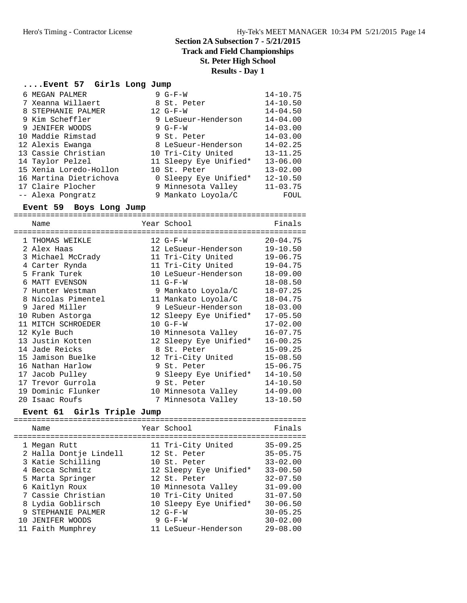**Track and Field Championships**

**St. Peter High School**

**Results - Day 1**

# **....Event 57 Girls Long Jump**

|  | 6 MEGAN PALMER         | $9 G-F-W$              | $14 - 10.75$ |
|--|------------------------|------------------------|--------------|
|  | 7 Xeanna Willaert      | 8 St. Peter            | $14 - 10.50$ |
|  | 8 STEPHANIE PALMER     | $12 G-F-W$             | $14 - 04.50$ |
|  | 9 Kim Scheffler        | 9 LeSueur-Henderson    | $14 - 04.00$ |
|  | 9 JENIFER WOODS        | $9 G-F-W$              | $14 - 03.00$ |
|  | 10 Maddie Rimstad      | 9 St. Peter            | $14 - 03.00$ |
|  | 12 Alexis Ewanga       | 8 LeSueur-Henderson    | $14 - 02.25$ |
|  | 13 Cassie Christian    | 10 Tri-City United     | $13 - 11.25$ |
|  | 14 Taylor Pelzel       | 11 Sleepy Eye Unified* | $13 - 06.00$ |
|  | 15 Xenia Loredo-Hollon | 10 St. Peter           | $13 - 02.00$ |
|  | 16 Martina Dietrichova | 0 Sleepy Eye Unified*  | $12 - 10.50$ |
|  | 17 Claire Plocher      | 9 Minnesota Valley     | $11 - 03.75$ |
|  | -- Alexa Pongratz      | 9 Mankato Loyola/C     | FOUL         |
|  |                        |                        |              |

#### **Event 59 Boys Long Jump**

|    | Name               | Year School            | Finals       |
|----|--------------------|------------------------|--------------|
|    |                    |                        |              |
| 1. | THOMAS WEIKLE      | $12 G-F-W$             | $20 - 04.75$ |
|    | 2 Alex Haas        | 12 LeSueur-Henderson   | $19 - 10.50$ |
|    | 3 Michael McCrady  | 11 Tri-City United     | $19 - 06.75$ |
|    | 4 Carter Rynda     | 11 Tri-City United     | $19 - 04.75$ |
|    | 5 Frank Turek      | 10 LeSueur-Henderson   | $18 - 09.00$ |
| 6  | MATT EVENSON       | $11 G-F-W$             | $18 - 08.50$ |
|    | 7 Hunter Westman   | 9 Mankato Loyola/C     | $18 - 07.25$ |
|    | 8 Nicolas Pimentel | 11 Mankato Loyola/C    | $18 - 04.75$ |
|    | 9 Jared Miller     | 9 LeSueur-Henderson    | $18 - 03.00$ |
|    | 10 Ruben Astorga   | 12 Sleepy Eye Unified* | $17 - 05.50$ |
|    | 11 MITCH SCHROEDER | $10 G-F-W$             | $17 - 02.00$ |
|    | 12 Kyle Buch       | 10 Minnesota Valley    | $16 - 07.75$ |
|    | 13 Justin Kotten   | 12 Sleepy Eye Unified* | $16 - 00.25$ |
|    | 14 Jade Reicks     | 8 St. Peter            | $15 - 09.25$ |
|    | 15 Jamison Buelke  | 12 Tri-City United     | $15 - 08.50$ |
|    | 16 Nathan Harlow   | 9 St. Peter            | $15 - 06.75$ |
|    | 17 Jacob Pulley    | 9 Sleepy Eye Unified*  | $14 - 10.50$ |
|    | 17 Trevor Gurrola  | 9 St. Peter            | $14 - 10.50$ |
|    | 19 Dominic Flunker | 10 Minnesota Valley    | $14 - 09.00$ |
|    | 20 Isaac Roufs     | 7 Minnesota Valley     | $13 - 10.50$ |

# **Event 61 Girls Triple Jump**

| Name                                                                                                                                       | Year School                                                                                                                               | Finals                                                                                                       |
|--------------------------------------------------------------------------------------------------------------------------------------------|-------------------------------------------------------------------------------------------------------------------------------------------|--------------------------------------------------------------------------------------------------------------|
| 1 Megan Rutt<br>2 Halla Dontje Lindell<br>3 Katie Schilling<br>4 Becca Schmitz<br>5 Marta Springer<br>6 Kaitlyn Roux<br>7 Cassie Christian | 11 Tri-City United<br>12 St. Peter<br>10 St. Peter<br>12 Sleepy Eye Unified*<br>12 St. Peter<br>10 Minnesota Valley<br>10 Tri-City United | $35 - 09.25$<br>$35 - 05.75$<br>$33 - 02.00$<br>$33 - 00.50$<br>$32 - 07.50$<br>$31 - 09.00$<br>$31 - 07.50$ |
| 8 Lydia Goblirsch<br>9 STEPHANIE PALMER<br>10 JENIFER WOODS<br>11 Faith Mumphrey                                                           | 10 Sleepy Eye Unified*<br>$12 G-F-W$<br>9 $G-F-W$<br>11 LeSueur-Henderson                                                                 | $30 - 06.50$<br>$30 - 05.25$<br>$30 - 02.00$<br>$29 - 08.00$                                                 |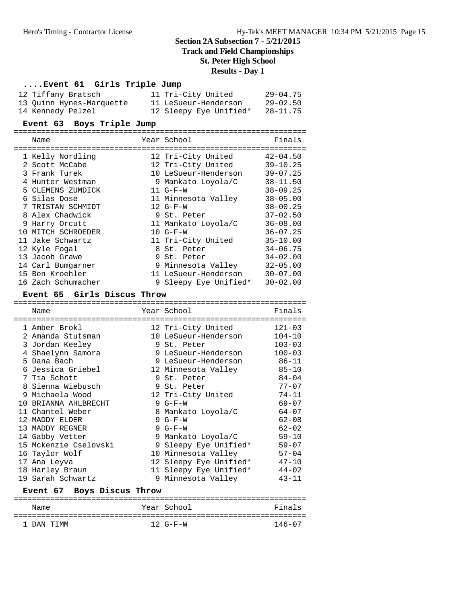# **Track and Field Championships**

**St. Peter High School**

# **Results - Day 1**

# **....Event 61 Girls Triple Jump**

| 12 Tiffany Bratsch        | 11 Tri-City United     | $29 - 04.75$ |
|---------------------------|------------------------|--------------|
| 13 Ouinn Hynes-Marquette  | 11 LeSueur-Henderson   | $29 - 02.50$ |
| 14 Kennedy Pelzel         | 12 Sleepy Eye Unified* | $28 - 11.75$ |
| Event 63 Boys Triple Jump |                        |              |
| Name                      | Year School            | Finals       |
| 1 Kelly Nordling          | 12 Tri-City United     | $42 - 04.50$ |
| 2 Scott McCabe            | 12 Tri-City United     | $39 - 10.25$ |

| 2 Scott McCabe     | 12 Tri-City United    | $39 - 10.25$ |
|--------------------|-----------------------|--------------|
| 3 Frank Turek      | 10 LeSueur-Henderson  | $39 - 07.25$ |
| 4 Hunter Westman   | 9 Mankato Loyola/C    | $38 - 11.50$ |
| 5 CLEMENS ZUMDICK  | $11 G-F-W$            | $38 - 09.25$ |
| 6 Silas Dose       | 11 Minnesota Valley   | $38 - 05.00$ |
| 7 TRISTAN SCHMIDT  | $12 G-F-W$            | $38 - 00.25$ |
| 8 Alex Chadwick    | 9 St. Peter           | $37 - 02.50$ |
| 9 Harry Orcutt     | 11 Mankato Loyola/C   | $36 - 08.00$ |
| 10 MITCH SCHROEDER | $10 G-F-W$            | $36 - 07.25$ |
| 11 Jake Schwartz   | 11 Tri-City United    | $35 - 10.00$ |
| 12 Kyle Fogal      | 8 St. Peter           | $34 - 06.75$ |
| 13 Jacob Grawe     | 9 St. Peter           | $34 - 02.00$ |
| 14 Carl Bumgarner  | 9 Minnesota Valley    | $32 - 05.00$ |
| 15 Ben Kroehler    | 11 LeSueur-Henderson  | $30 - 07.00$ |
| 16 Zach Schumacher | 9 Sleepy Eye Unified* | $30 - 02.00$ |
|                    |                       |              |

#### **Event 65 Girls Discus Throw**

|     | Name                       | Year School            | Finals     |
|-----|----------------------------|------------------------|------------|
|     | 1 Amber Brokl              | 12 Tri-City United     | $121 - 03$ |
| 2.  | Amanda Stutsman            | 10 LeSueur-Henderson   | $104 - 10$ |
|     | 3 Jordan Keeley            | 9 St. Peter            | $103 - 03$ |
|     | 4 Shaelynn Samora          | 9 LeSueur-Henderson    | $100 - 03$ |
|     | 5 Dana Bach                | 9 LeSueur-Henderson    | 86-11      |
|     | 6 Jessica Griebel          | 12 Minnesota Valley    | $85 - 10$  |
|     | 7 Tia Schott               | 9 St. Peter            | $84 - 04$  |
|     | 8 Sienna Wiebusch          | 9 St. Peter            | $77 - 07$  |
|     | 9 Michaela Wood            | 12 Tri-City United     | $74 - 11$  |
| 1 Q | BRIANNA AHLBRECHT          | $9 G-F-W$              | $69 - 07$  |
|     | 11 Chantel Weber           | 8 Mankato Loyola/C     | $64 - 07$  |
|     | 12 MADDY ELDER             | $9 G-F-W$              | $62 - 08$  |
| 13  | MADDY REGNER               | $9 G-F-W$              | $62 - 02$  |
|     | 14 Gabby Vetter            | 9 Mankato Loyola/C     | $59 - 10$  |
|     | 15 Mckenzie Cselovski      | 9 Sleepy Eye Unified*  | $59 - 07$  |
|     | 16 Taylor Wolf             | 10 Minnesota Valley    | $57 - 04$  |
|     | 17 Ana Leyva               | 12 Sleepy Eye Unified* | $47 - 10$  |
|     | 18 Harley Braun            | 11 Sleepy Eye Unified* | $44 - 02$  |
|     | 19 Sarah Schwartz          | 9 Minnesota Valley     | $43 - 11$  |
|     | Event 67 Boys Discus Throw |                        |            |
|     | Name                       | Year School            | Finals     |
|     |                            |                        |            |

1 DAN TIMM 12 G-F-W 146-07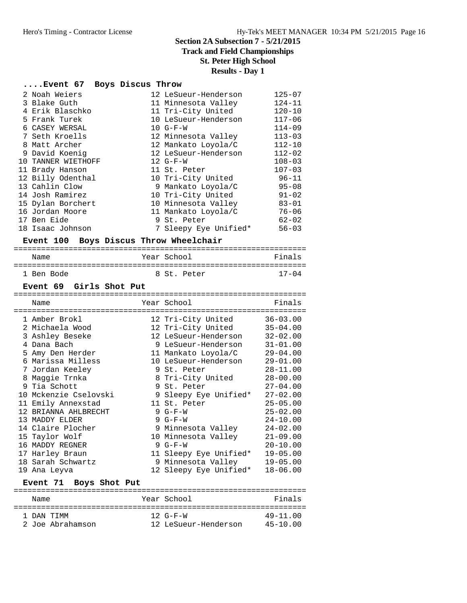# **Track and Field Championships**

**St. Peter High School**

#### **Results - Day 1**

# **....Event 67 Boys Discus Throw**

| 2 Noah Weiers      | 12 LeSueur-Henderson  | $125 - 07$ |
|--------------------|-----------------------|------------|
| 3 Blake Guth       | 11 Minnesota Valley   | $124 - 11$ |
| 4 Erik Blaschko    | 11 Tri-City United    | $120 - 10$ |
| 5 Frank Turek      | 10 LeSueur-Henderson  | $117 - 06$ |
| 6 CASEY WERSAL     | $10 G-F-W$            | $114 - 09$ |
| 7 Seth Kroells     | 12 Minnesota Valley   | $113 - 03$ |
| 8 Matt Archer      | 12 Mankato Loyola/C   | $112 - 10$ |
| 9 David Koenig     | 12 LeSueur-Henderson  | $112 - 02$ |
| 10 TANNER WIETHOFF | $12 G-F-W$            | $108 - 03$ |
| 11 Brady Hanson    | 11 St. Peter          | $107 - 03$ |
| 12 Billy Odenthal  | 10 Tri-City United    | $96 - 11$  |
| 13 Cahlin Clow     | 9 Mankato Loyola/C    | $95 - 08$  |
| 14 Josh Ramirez    | 10 Tri-City United    | $91 - 02$  |
| 15 Dylan Borchert  | 10 Minnesota Valley   | $83 - 01$  |
| 16 Jordan Moore    | 11 Mankato Loyola/C   | $76 - 06$  |
| 17 Ben Eide        | 9 St. Peter           | $62 - 02$  |
| 18 Isaac Johnson   | 7 Sleepy Eye Unified* | $56 - 03$  |

# **Event 100 Boys Discus Throw Wheelchair**

| Name       | Year School | Finals    |  |  |  |
|------------|-------------|-----------|--|--|--|
| 1 Ben Bode | 8 St. Peter | $17 - 04$ |  |  |  |

|                                                        | Event 69 Girls Shot Put   |  |                        |              |  |  |  |
|--------------------------------------------------------|---------------------------|--|------------------------|--------------|--|--|--|
|                                                        | Name                      |  | Year School            | Finals       |  |  |  |
|                                                        | 1 Amber Brokl             |  | 12 Tri-City United     | $36 - 03.00$ |  |  |  |
|                                                        | 2 Michaela Wood           |  | 12 Tri-City United     | $35 - 04.00$ |  |  |  |
|                                                        | 3 Ashley Beseke           |  | 12 LeSueur-Henderson   | $32 - 02.00$ |  |  |  |
|                                                        | 4 Dana Bach               |  | 9 LeSueur-Henderson    | $31 - 01.00$ |  |  |  |
|                                                        | 5 Amy Den Herder          |  | 11 Mankato Loyola/C    | $29 - 04.00$ |  |  |  |
|                                                        | 6 Marissa Milless         |  | 10 LeSueur-Henderson   | $29 - 01.00$ |  |  |  |
|                                                        | 7 Jordan Keeley           |  | 9 St. Peter            | $28 - 11.00$ |  |  |  |
|                                                        | 8 Maggie Trnka            |  | 8 Tri-City United      | $28 - 00.00$ |  |  |  |
|                                                        | 9 Tia Schott              |  | 9 St. Peter            | $27 - 04.00$ |  |  |  |
|                                                        | 10 Mckenzie Cselovski     |  | 9 Sleepy Eye Unified*  | $27 - 02.00$ |  |  |  |
|                                                        | 11 Emily Annexstad        |  | 11 St. Peter           | $25 - 05.00$ |  |  |  |
|                                                        | 12 BRIANNA AHLBRECHT      |  | $9 G-F-W$              | $25 - 02.00$ |  |  |  |
|                                                        | 13 MADDY ELDER            |  | $9 G-F-W$              | $24 - 10.00$ |  |  |  |
|                                                        | 14 Claire Plocher         |  | 9 Minnesota Valley     | $24 - 02.00$ |  |  |  |
|                                                        | 15 Taylor Wolf            |  | 10 Minnesota Valley    | $21 - 09.00$ |  |  |  |
|                                                        | 16 MADDY REGNER           |  | $9 G-F-W$              | $20 - 10.00$ |  |  |  |
|                                                        | 17 Harley Braun           |  | 11 Sleepy Eye Unified* | $19 - 05.00$ |  |  |  |
|                                                        | 18 Sarah Schwartz         |  | 9 Minnesota Valley     | $19 - 05.00$ |  |  |  |
| $18 - 06.00$<br>12 Sleepy Eye Unified*<br>19 Ana Leyva |                           |  |                        |              |  |  |  |
|                                                        | Boys Shot Put<br>Event 71 |  |                        |              |  |  |  |

| Name             | Year School          | Finals       |
|------------------|----------------------|--------------|
| 1 DAN TIMM       | $12 G-F-W$           | $49 - 11.00$ |
| 2 Joe Abrahamson | 12 LeSueur-Henderson | $45 - 10.00$ |